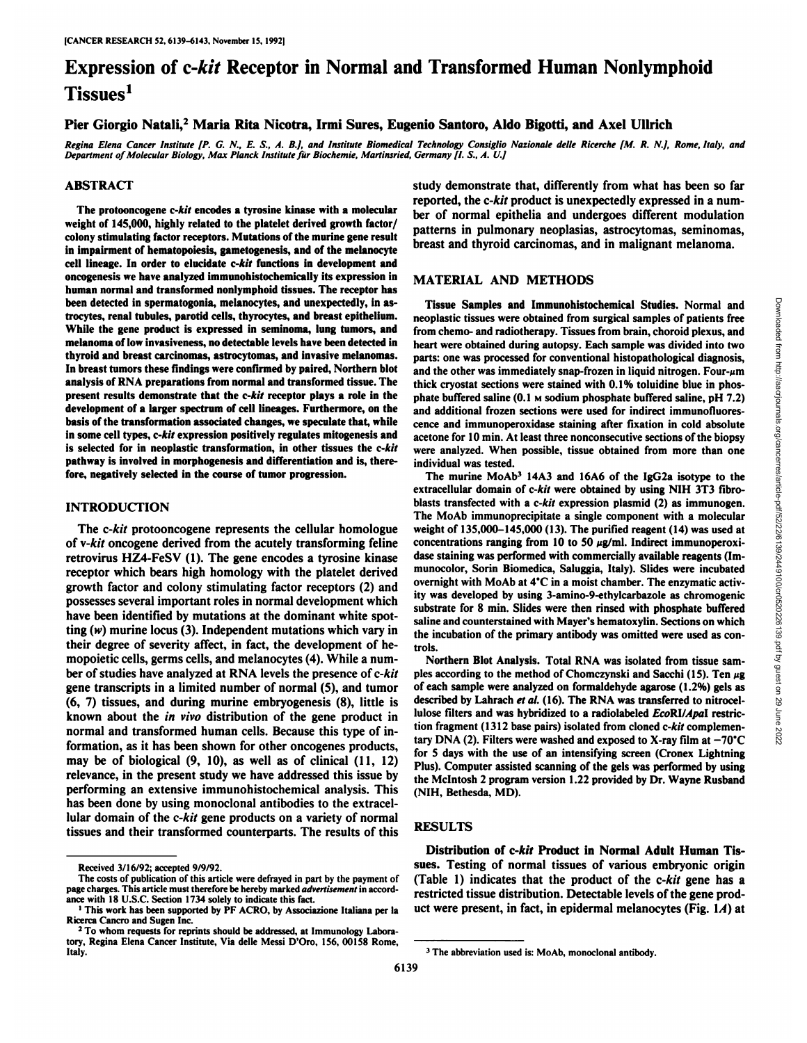# Expression of c-kit Receptor in Normal and Transformed Human Nonlymphoid Tissues<sup>1</sup>

Pier Giorgio Natali,2 Maria Rita Nicotra, Irmi Sures, Eugenio Santoro, Aldo Bigotti, and Axel Ullrich

Regina Elena Cancer Institute [P. G. N., E. S., A. B.], and Institute Biomedical Technology Consiglio Nazionale delle Ricerche [M. R. N.], Rome, Italy, and *Department of Molecular Biology, Max Planck Institute fürBiochemie, Martinsried, Germany [l.S., A. V.]*

#### ABSTRACT

The protooncogene c-kit encodes a tyrosine kinase with a molecular weight of 145,000, highly related to the platelet derived growth factor/ colony stimulating factor receptors. Mutations of the murine gene result in impairment of hematopoiesis, gametogenesis, and of the melanocyte cell lineage. In order to elucidate c-kit functions in development and oncogenesis we have analyzed immunohistochemically its expression in human normal and transformed nonlymphoid tissues. The receptor has been detected in spermatogonia, melanocytes, and unexpectedly, in astrocytes, renal tubules, parotid cells, thyrocytes, and breast epithelium. While the gene product is expressed in seminoma, lung tumors, and melanoma of low invasiveness, no detectable levels have been detected in thyroid and breast carcinomas, astrocytomas, and invasive melanomas. In breast tumors these findings were confirmed by paired. Northern blot analysis of RNA preparations from normal and transformed tissue. The present results demonstrate that the c-kit receptor plays a role in the development of a larger spectrum of cell lineages. Furthermore, on the basis of the transformation associated changes, we speculate that, while in some cell types, c-kit expression positively regulates mitogenesis and is selected for in neoplastic transformation, in other tissues the c-kit pathway is involved in morphogenesis and differentiation and is, there fore, negatively selected in the course of tumor progression.

### INTRODUCTION

The c-kit protooncogene represents the cellular homologue of v-kit oncogene derived from the acutely transforming feline retrovirus HZ4-FeSV (1). The gene encodes a tyrosine kinase receptor which bears high homology with the platelet derived growth factor and colony stimulating factor receptors (2) and possesses several important roles in normal development which have been identified by mutations at the dominant white spot ting  $(w)$  murine locus (3). Independent mutations which vary in their degree of severity affect, in fact, the development of hemopoietic cells, germs cells, and melanocytes (4). While a num ber of studies have analyzed at RNA levels the presence of c-kit gene transcripts in a limited number of normal (5), and tumor (6, 7) tissues, and during murine embryogenesis (8), little is known about the in vivo distribution of the gene product in normal and transformed human cells. Because this type of in formation, as it has been shown for other oncogenes products, may be of biological (9, 10), as well as of clinical (11, 12) relevance, in the present study we have addressed this issue by performing an extensive immunohistochemical analysis. This has been done by using monoclonal antibodies to the extracel lular domain of the c-kit gene products on a variety of normal tissues and their transformed counterparts. The results of this study demonstrate that, differently from what has been so far reported, the c-kit product is unexpectedly expressed in a num ber of normal epithelia and undergoes different modulation patterns in pulmonary neoplasias, astrocytomas, seminomas, breast and thyroid carcinomas, and in malignant melanoma.

#### MATERIAL AND METHODS

neoplastic tissues were obtained from surgical samples of patients free from chemo- and radiotherapy. Tissues from brain, choroid plexus, and heart were obtained during autopsy. Each sample was divided into two parts: one was processed for conventional histopathological diagnosis, and the other was immediately snap-frozen in liquid nitrogen. Four- $\mu$ m thick cryostat sections were stained with 0.1% toluidine blue in phos phate buffered saline  $(0.1 \text{ m}$  sodium phosphate buffered saline, pH 7.2) and additional frozen sections were used for indirect immunofluores cence and immunoperoxidase staining after fixation in cold absolute acetone for 10 min.At least three nonconsecutive sections of the biopsy were analyzed. When possible, tissue obtained from more than one individual was tested.

Tissue Samples and Immunohistochemical Studies. Normal and<br>oplastic tissues were obtained from surgical samples of patients free<br>nm chemo- and radiotherapy. Tissues from brain, choroid plexus, and<br>art were obtained during The murine MoAb<sup>3</sup> 14A3 and 16A6 of the IgG2a isotype to the extracellular domain of c-kit were obtained by using N1H 3T3 fibroblasts transfected with a  $c$ -*kit* expression plasmid  $(2)$  as immunogen. The MoAb immunoprecipitate a single component with a molecular weight of 135,000-145,000 (13). The purified reagent (14) was used at concentrations ranging from 10 to 50  $\mu$ g/ml. Indirect immunoperoxidase staining was performed with commercially available reagents (Immunocolor, Sorin Biomedica, Saluggia, Italy). Slides were incubated overnight with MoAb at 4°C in a moist chamber. The enzymatic activity was developed by using 3-amino-9-ethylcarbazole as chromogenic substrate for 8 min. Slides were then rinsed with phosphate buffered saline and counterstained with Mayer's hematoxylin. Sections on which the incubation of the primary' antibody was omitted were used as con trols.

Northern Blot Analysis. Total RNA was isolated from tissue sam ples according to the method of Chomczynski and Sacchi (15). Ten  $\mu$ g of each sample were analyzed on formaldehyde agarose (1.2%) gels as described by Lahrach et al. (16). The RNA was transferred to nitrocellulose filters and was hybridized to a radiolabeled EcoRI/ApaI restriction fragment (1312 base pairs) isolated from cloned c-kit complemen tary DNA (2). Filters were washed and exposed to X-ray film at  $-70^{\circ}$ C for 5 days with the use of an intensifying screen (Cronex Lightning Plus). Computer assisted scanning of the gels was performed by using the Mclntosh 2 program version 1.22 provided by Dr. Wayne Rusband (NIH. Bethesda, MD).

# RESULTS

Distribution of c-kit Product in Normal Adult Human Tis sues. Testing of normal tissues of various embryonic origin (Table 1) indicates that the product of the c-kit gene has a restricted tissue distribution. Detectable levels of the gene prod uct were present, in fact, in epidermal melanocytes (Fig.  $1A$ ) at

Received 3/16/92; accepted 9/9/92.

The costs of publication of this article were defrayed in part by the payment of page charges. This article must therefore be hereby marked advertisement in accordance with 18 U.S.C. Section 1734 solely to indicate this fact.

<sup>1</sup>This work has been supported by PF ACRO, by Associazione Italiana per la Ricerca Cancro and Sugen Inc.

<sup>&</sup>lt;sup>2</sup> To whom requests for reprints should be addressed, at Immunology Laboratory, Regina Elena Cancer Institute, Via delle Messi D'Oro, 156, 00158 Rome, Italy.

<sup>&#</sup>x27; The abbreviation used is: MoAb, monoclonal antibody.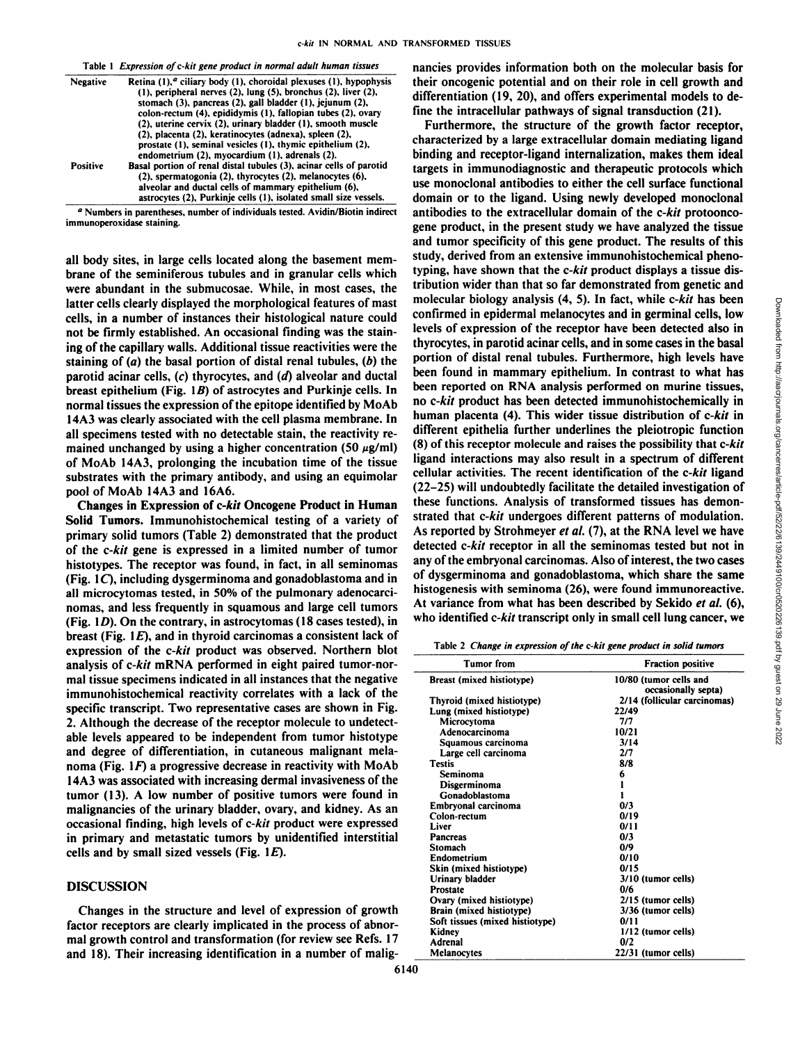| Table 1 Expression of c-kit gene product in normal adult human tissues |  |  |
|------------------------------------------------------------------------|--|--|
|------------------------------------------------------------------------|--|--|

| <b>Negative</b> | Retina $(1)$ , $a$ ciliary body $(1)$ , choroidal plexuses $(1)$ , hypophysis<br>$(1)$ , peripheral nerves $(2)$ , lung $(5)$ , bronchus $(2)$ , liver $(2)$ ,<br>stomach (3), pancreas (2), gall bladder (1), jejunum (2),                                                                           |
|-----------------|-------------------------------------------------------------------------------------------------------------------------------------------------------------------------------------------------------------------------------------------------------------------------------------------------------|
|                 | colon-rectum (4), epididymis (1), fallopian tubes (2), ovary<br>(2), uterine cervix (2), urinary bladder (1), smooth muscle<br>(2), placenta (2), keratinocytes (adnexa), spleen (2),<br>prostate (1), seminal vesicles (1), thymic epithelium (2),<br>endometrium (2), myocardium (1), adrenals (2). |
| <b>Positive</b> | Basal portion of renal distal tubules (3), acinar cells of parotid<br>(2), spermatogonia (2), thyrocytes (2), melanocytes (6),<br>alveolar and ductal cells of mammary epithelium (6),<br>astrocytes (2), Purkinje cells (1), isolated small size vessels.                                            |

<sup>a</sup> Numbers in parentheses, number of individuals tested. Avidin/Biotin indirect immunoperoxidase staining.

all body sites, in large cells located along the basement mem brane of the seminiferous tubules and in granular cells which were abundant in the submucosae. While, in most cases, the latter cells clearly displayed the morphological features of mast cells, in a number of instances their histological nature could not be firmly established. An occasional finding was the stain ing of the capillary walls. Additional tissue reactivities were the staining of  $(a)$  the basal portion of distal renal tubules,  $(b)$  the parotid acinar cells,  $(c)$  thyrocytes, and  $(d)$  alveolar and ductal breast epithelium (Fig.  $1B$ ) of astrocytes and Purkinje cells. In normal tissues the expression of the epitope identified by MoAb 14A3 was clearly associated with the cell plasma membrane. In all specimens tested with no detectable stain, the reactivity re mained unchanged by using a higher concentration (50  $\mu$ g/ml) of MoAb 14A3, prolonging the incubation time of the tissue substrates with the primary antibody, and using an equimolar pool of MoAb 14A3 and 16A6.

Changes in Expression of c-kit Oncogene Product in Human Solid Tumors. Immunohistochemical testing of a variety of primary solid tumors (Table 2) demonstrated that the product of the c-kit gene is expressed in a limited number of tumor histotypes. The receptor was found, in fact, in all seminomas (Fig.  $1C$ ), including dysgerminoma and gonadoblastoma and in all microcytomas tested, in 50% of the pulmonary adenocarci nomas. and less frequently in squamous and large cell tumors (Fig. 1D). On the contrary, in astrocytomas (18 cases tested), in breast (Fig. 1E), and in thyroid carcinomas a consistent lack of expression of the c-kit product was observed. Northern blot analysis of c-kit mRNA performed in eight paired tumor-nor mal tissue specimens indicated in all instances that the negative immunohistochemical reactivity correlates with a lack of the specific transcript. Two representative cases are shown in Fig. 2. Although the decrease of the receptor molecule to undetectable levels appeared to be independent from tumor histotype and degree of differentiation, in cutaneous malignant mela noma (Fig.  $1F$ ) a progressive decrease in reactivity with MoAb 14A3 was associated with increasing dermal invasiveness of the tumor (13). A low number of positive tumors were found in malignancies of the urinary bladder, ovary, and kidney. As an occasional finding, high levels of c-kit product were expressed in primary and metastatic tumors by unidentified interstitial cells and by small sized vessels (Fig.  $1E$ ).

# DISCUSSION

Changes in the structure and level of expression of growth factor receptors are clearly implicated in the process of abnor mal growth control and transformation (for review see Refs. 17 and 18). Their increasing identification in a number of malig

6140

nancies provides information both on the molecular basis for their oncogenic potential and on their role in cell growth and differentiation (19, 20), and offers experimental models to de fine the intracellular pathways of signal transduction (21).

Furthermore, the structure of the growth factor receptor, characterized by a large extracellular domain mediating ligand binding and receptor-ligand internalization, makes them ideal targets in immunodiagnostic and therapeutic protocols which use monoclonal antibodies to either the cell surface functional domain or to the ligand. Using newly developed monoclonal antibodies to the extracellular domain of the c-kit protoonco gene product, in the present study we have analyzed the tissue and tumor specificity of this gene product. The results of this study, derived from an extensive immunohistochemical phenotyping, have shown that the c-kit product displays a tissue dis tribution wider than that so far demonstrated from genetic and molecular biology analysis (4, 5). In fact, while c-kit has been<br>confirmed in epidermal melanocytes and in germinal cells, low<br>levels of expression of the receptor have been detected also in<br>thyrocytes, in parotid acinar confirmed in epidermal melanocytes and in germinal cells, low levels of expression of the receptor have been detected also in thyrocytes, in parotid acinar cells, and in some cases in the basal portion of distal renal tubules. Furthermore, high levels have been found in mammary epithelium. In contrast to what has been reported on RNA analysis performed on murine tissues, no c-kit product has been detected immunohistochemically in human placenta (4). This wider tissue distribution of c-kit in different epithelia further underlines the pleiotropic function (8) of this receptor molecule and raises the possibility that c-kit ligand interactions may also result in a spectrum of different cellular activities. The recent identification of the c-kit ligand (22-25) will undoubtedly facilitate the detailed investigation of these functions. Analysis of transformed tissues has demon strated that c-kit undergoes different patterns of modulation. As reported by Strohmeyer et al. (7), at the RNA level we have detected c-kit receptor in all the seminomas tested but not in any of the embryonal carcinomas. Also of interest, the two cases of dysgerminoma and gonadoblastoma, which share the same histogenesis with seminoma (26), were found immunoreactive. At variance from what has been described by Sekido et al. (6), who identified c-kit transcript only in small cell lung cancer, we

Table 2 Change in expression of the c-kit gene product in solid tumors

| <b>Tumor</b> from               | <b>Fraction positive</b>                      |  |
|---------------------------------|-----------------------------------------------|--|
| Breast (mixed histiotype)       | 10/80 (tumor cells and<br>occasionally septa) |  |
| Thyroid (mixed histiotype)      | 2/14 (follicular carcinomas)                  |  |
| Lung (mixed histiotype)         | 22/49                                         |  |
| Microcytoma                     | 7/7                                           |  |
| Adenocarcinoma                  | 10/21                                         |  |
| Squamous carcinoma              | 3/14                                          |  |
| Large cell carcinoma            | 2/7                                           |  |
| <b>Testis</b>                   | 8/8                                           |  |
| Seminoma                        | 6                                             |  |
| Disgerminoma                    |                                               |  |
| Gonadoblastoma                  |                                               |  |
| Embryonal carcinoma             | 0/3                                           |  |
| Colon-rectum                    | 0/19                                          |  |
| Liver                           | 0/11                                          |  |
| <b>Pancreas</b>                 | 0/3                                           |  |
| Stomach                         | 0/9                                           |  |
| Endometrium                     | 0/10                                          |  |
| Skin (mixed histiotype)         | 0/15                                          |  |
| Urinary bladder                 | 3/10 (tumor cells)                            |  |
| Prostate                        | 0/6                                           |  |
| Ovary (mixed histiotype)        | 2/15 (tumor cells)                            |  |
| Brain (mixed histiotype)        | 3/36 (tumor cells)                            |  |
| Soft tissues (mixed histiotype) | 0/11                                          |  |
| Kidney                          | 1/12 (tumor cells)                            |  |
| Adrenal                         | 0/2                                           |  |
| Melanocytes                     | 22/31 (tumor cells)                           |  |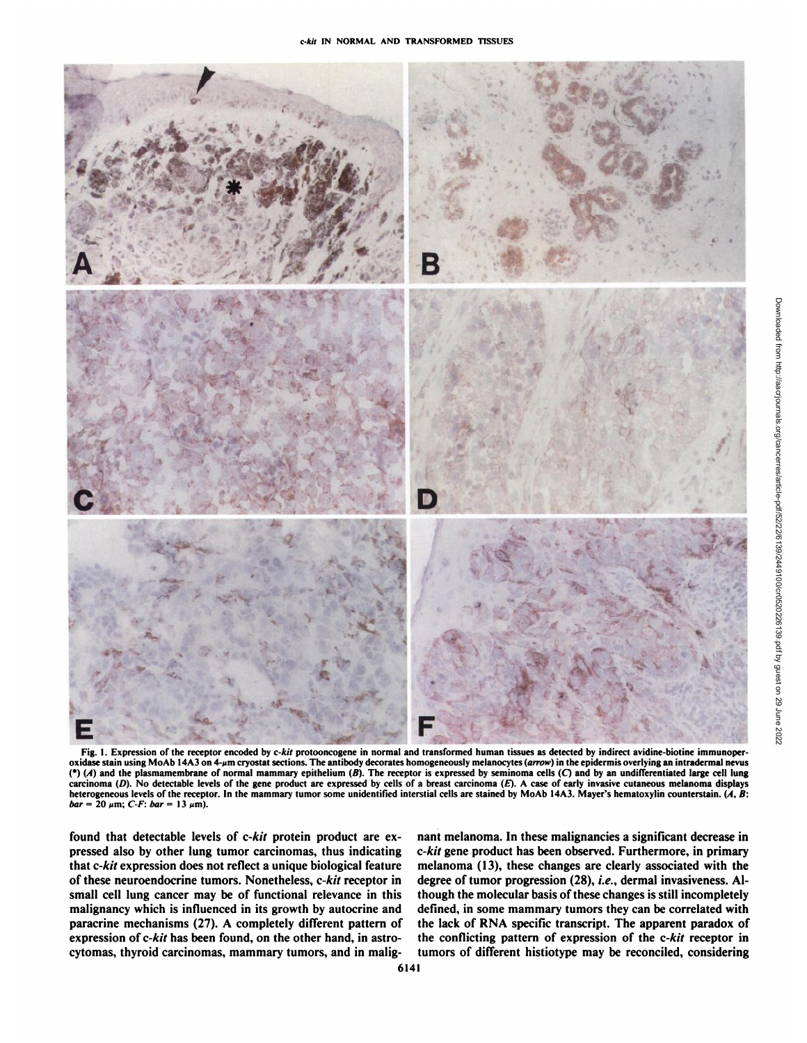

Fig. 1. Expression of the receptor encoded by c-kit protooncogene in normal and transformed human tissues as detected by indirect avidine-biotine immunoperoxidase stain using MoAb 14A3 on 4-µm cryostat sections. The antibody decorates homogeneously melanocytes (*arrow*) in the epidermis overlying an intradermal nevus (\*) (A) and the plasmamembrane of normal mammary epithelium (B). The receptor is expressed by seminoma cells (C) and by an undifferentiated large cell lung carcinoma (D). No detectable levels of the gene product are expressed by cells of a breast carcinoma (E). A case of early invasive cutaneous melanoma displays heterogeneous levels of the receptor. In the mammary tumor som  $bar = 20 \mu m$ ; *C-F:*  $bar = 13 \mu m$ ).

found that detectable levels of c-kit protein product are ex pressed also by other lung tumor carcinomas, thus indicating that c-kit expression does not reflect a unique biological feature of these neuroendocrine tumors. Nonetheless, c-kit receptor in small cell lung cancer may be of functional relevance in this malignancy which is influenced in its growth by autocrine and paracrine mechanisms (27). A completely different pattern of expression of c-kit has been found, on the other hand, in astrocytomas, thyroid carcinomas, mammary tumors, and in malig

nant melanoma. In these malignancies a significant decrease in *c-kit gene product has been observed. Furthermore, in primary* melanoma (13), these changes are clearly associated with the degree of tumor progression (28), i.e., dermal invasiveness. Although the molecular basis of these changes is still incompletely defined, in some mammary tumors they can be correlated with the lack of RNA specific transcript. The apparent paradox of the conflicting pattern of expression of the c-kit receptor in tumors of different histiotype may be reconciled, considering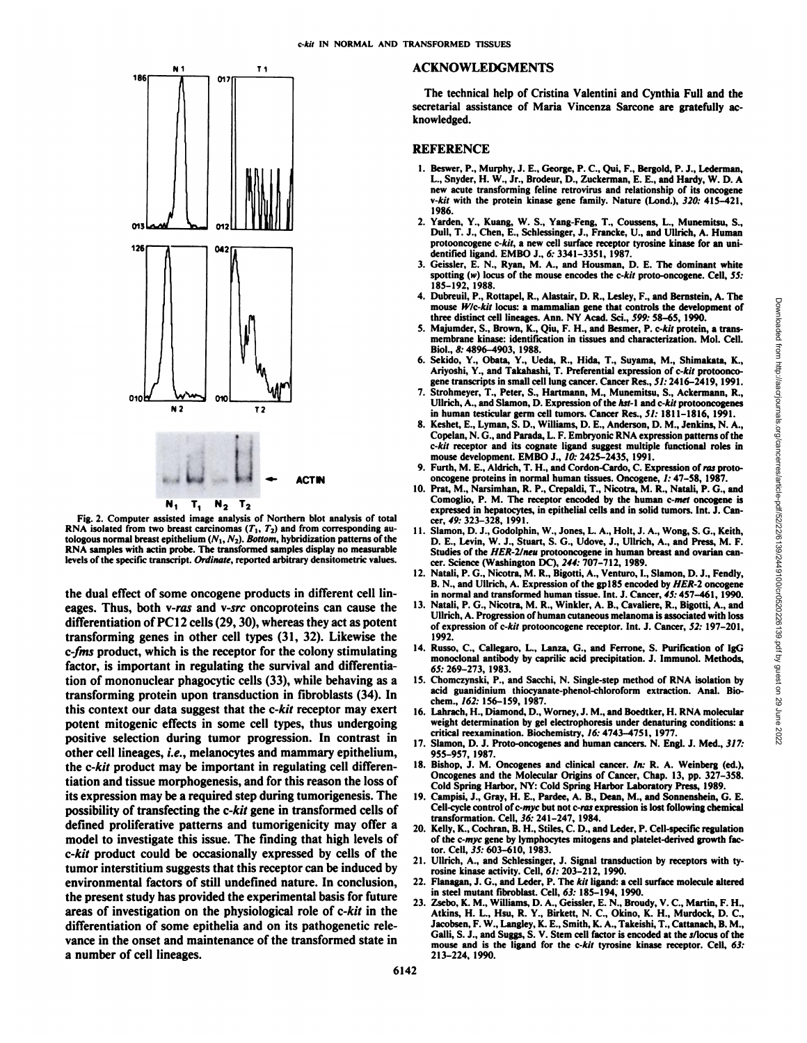# $T<sub>1</sub>$ N<sub>1</sub> 186  $\mathbf{a}$ 126 042 010l oxo  $N<sub>2</sub>$  $T<sub>2</sub>$ ,u u.ACT IN  $N_1$   $T_1$   $N_2$   $T_2$

Fig. 2. Computer assisted image analysis of Northern blot analysis of total RNA isolated from two breast carcinomas  $(T_1, T_2)$  and from corresponding autologous normal breast epithelium  $(N_1, N_2)$ . Bottom, hybridization patterns of the RNA samples with actin probe. The transformed samples display no measurable levels of the specific transcript. Ordinate, reported arbitrary densitometric values.

the dual effect of some oncogene products in different cell lin eages. Thus, both v-ras and v-src oncoproteins can cause the differentiation of PC12 cells  $(29, 30)$ , whereas they act as potent transforming genes in other cell types (31, 32). Likewise the *c-fms product, which is the receptor for the colony stimulating* factor, is important in regulating the survival and differentia tion of mononuclear phagocytic cells (33), while behaving as a transforming protein upon transduction in fibroblasts (34). In this context our data suggest that the c-kit receptor may exert potent mitogenic effects in some cell types, thus undergoing positive selection during tumor progression. In contrast in other cell lineages, i.e., melanocytes and mammary epithelium, the c-kit product may be important in regulating cell differen tiation and tissue morphogenesis, and for this reason the loss of its expression may be a required step during tumorigenesis. The possibility of transfecting the c-kit gene in transformed cells of defined proliferative patterns and tumorigenicity may offer a model to investigate this issue. The finding that high levels of *c-kit product could be occasionally expressed by cells of the* tumor interstitium suggests that this receptor can be induced by environmental factors of still undefined nature. In conclusion, the present study has provided the experimental basis for future areas of investigation on the physiological role of c-kit in the differentiation of some epithelia and on its pathogenetic rele vance in the onset and maintenance of the transformed state in<br>mouse and is the ligand for the c-kit tyrosine kinase receptor. Cell, 63: a number of cell lineages.

#### ACKNOWLEDGMENTS

The technical help of Cristina Valentini and Cynthia Full and the secretarial assistance of Maria Vincenza Sarcone are gratefully ac knowledged.

## **REFERENCE**

- 1. Beswer, P., Murphy, J. E., George. P. C, Qui, F., Bergold, P. J., Lederman, L., Snyder, H. W., Jr., Brodeur, D., Zuckerman, E. E., and Hardy, W. D. A new acute transforming feline retrovirus and relationship of its oncogene *v-kit with the protein kinase gene family. Nature (I mid.). 320: 415-421,* 1986.
- 2. Yarden, Y., Kuang. W. S., Yang-Feng, T., Coussens. L., Munemitsu, S., Dull, T. J., Chen, E., Schlessinger. J., Francke, U., and Ullrich, A. Human protooncogene c-kit, a new cell surface receptor tyrosine kinase for an unidentified ligand. EMBO J., 6: 3341-3351, 1987.
- 3. Geissler, E. N., Ryan, M. A., and Housman, D. E. The dominant white spotting  $(w)$  locus of the mouse encodes the c-kit proto-oncogene. Cell, 55: 185-192, 1988.<br>4. Dubreuil, P., Rottapel, R., Alastair, D. R., Lesley, F., and Bernstein, A. The
- three distinct cell lineages. Ann. NY Acad. Sci., 599: 58-65, 1990.
- 5. Majumder, S., Brown, K., Qiu, F. H., and Besmer, P. c-kit protein, a trans membrane kinase: identification in tissues and characterization. Mol. Cell. Biol., 8: 4896-4903, 1988.
- 6. Sekido, Y., Obata, Y., Ueda, R., Hida, T., Suyama, M., Shimakata, K., Ariyoshi, Y., and Takahashi, T. Preferential expression of c-kit protoonco gene transcripts in small cell lung cancer. Cancer Res., 51: 2416-2419, 1991.
- 7. Strohmeyer, T., Peter, S., Hartmann, M., Munemitsu, S., Ackermann, R., Ullrich, A., and Slamon, D. Expression of the hst-l and c-kit protooncogenes in human testicular germ cell tumors. Cancer Res., 51: 1811-1816, 1991.
- 8. Keshet, E., Lyman, S. D., Williams, D. E., Anderson, D. M., Jenkins. N. A., Copelan, N. G., and Parada, L. F. Embryonic RNA expression patterns of the *c-kit receptor and its cognate ligand suggest multiple functional roles in* mouse development. EMBO J., 10: 2425-2435, 1991.
- 9. Furth, M. E., Aldrich, T. H., and Cordon-Cardo, C. Expression of ras proto oncogene proteins in normal human tissues. Oncogene, /: 47-58, 1987.
- 10. Prat, M., Narsimhan, R. P., Crepaldi, T., Nicotra, M. R., Natali, P. G., and Comoglio, P. M. The receptor encoded by the human c-met oncogene is expressed in hepatocytes, in epithelial cells and in solid tumors. Int. J. Can cer, 49: 323-328, 1991.
- 11. Slamon, D. J., Godolphin, W., Jones, L. A., Holt, J. A., Wong, S. G., Keith, D. E., Levin, W. J., Stuart, S. G., Udove, J., Ullrich, A., and Press, M. F. Studies of the HER-2/neu protooncogene in human breast and ovarian cancer. Science (Washington DC). 244: 707-712, 1989.
- 12. Natali, P. G., Nicotra, M. R., Bigotti, A., Venturo, I., Slamon, D. J., Fendly, B. N., and Ullrich, A. Expression of the gpl85 encoded by HER-2 oncogene in normal and transformed human tissue. Int. J. Cancer, 45:457-461, 1990.
- butteral, the Notest The May 1, Alastair, A. The May 1, A. R. A. S. A. The Distribution in the Action of May 1, A. R. A. The May 1, A. The May 1, A. The May 1, A. The May 1, A. The May 1, A. The more than the more than th 13. Natali, P. G., Nicotra, M. R., Winkler, A. B., Cavaliere, R., Bigotti, A., and Ullrich, A. Progression of human cutaneous melanoma is associated with loss of expression of c-kit protooncogene receptor. Int. J. Cancer, 52: 197-201, 1992.
- 14. Russo, C., Callegaro, L., Lanza, G., and Ferrone, S. Purification of IgG monoclonal antibody by caprilic acid precipitation. J. Immunol. Methods, 65:269-273, 1983.
- 15. Chomczynski, P., and Sacchi, N. Single-step method of RNA isolation by acid guanidinium thiocyanate-phenol-chloroform extraction. Anal. Biochem., 162: 156-159, 1987.
- 16. Lahrach, H., Diamond, D., Worney, J. M., and Boedtker, H. RNA molecular weight determination by gel electrophoresis under denaturing conditions: a critical reexamination. Biochemistry, 16: 4743-4751, 1977.
- 17. Slamon, D. J. Proto-oncogenes and human cancers. N. Engl. J. Med., 317: 955-957, 1987.
- 18. Bishop, J. M. Oncogenes and clinical cancer. In: R. A. Weinberg (ed.), Oncogenes and the Molecular Origins of Cancer, Chap. 13, pp. 327-358. Cold Spring Harbor, NY: Cold Spring Harbor Laboratory Press, 1989.
- 19. Campisi, J., Gray, H. E., Pardee, A. B., Dean, M., and Sonnenshein, G. E. Cell-cycle control of c-myc but not c-ras expression is lost following chemical transformation. Cell, 36: 241-247, 1984.
- 20. Kelly, K., Cochran, B. H., Stiles, C. D., and Leder, P. Cell-specific regulation of the c-myc gene by lymphocytes mitogens and platelet-derived growth fac tor. Cell, 35: 603-610, 1983.
- 21. Ullrich, A., and Schlessinger, J. Signal transduction by receptors with tyrosine kinase activity. Cell, 61: 203-212, 1990.
- 22. Flanagan, J. G., and Leder, P. The kit ligand: a cell surface molecule altered in steel mutant fibroblast. Cell, 63: 185-194, 1990.
- 23. Zsebo, K. M., Williams, D. A., Geissler, E. N., Broudy, V. C, Martin, F. H., Atkins, H. L., Hsu, R. Y., Birkett, N. C., Okino, K. H., Murdock, D. C., Jacobsen, F. W., Langley, K. E., Smith, K. A., Takeishi, T., Cattanach, B. M., Galli, S. J., and Suggs, S. V. Stem cell factor is encoded at the s/locus of the 213-224, 1990.